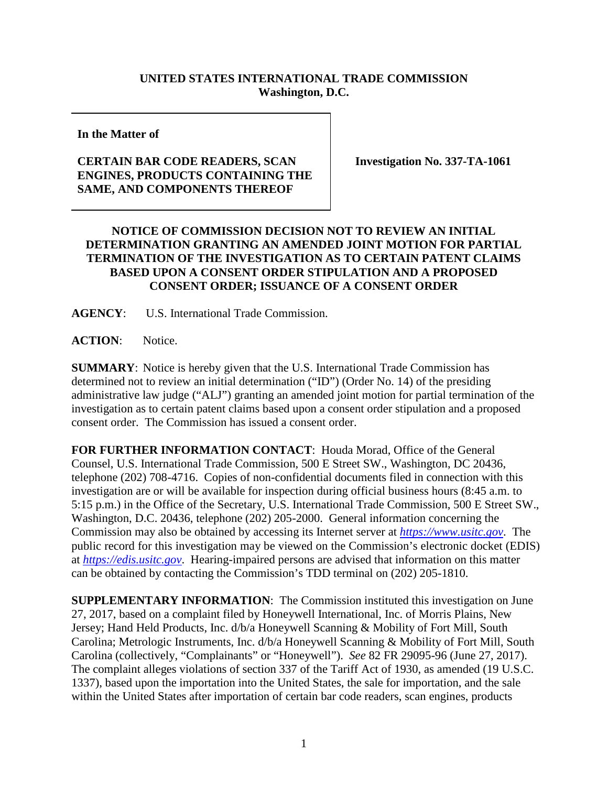## **UNITED STATES INTERNATIONAL TRADE COMMISSION Washington, D.C.**

**In the Matter of**

## **CERTAIN BAR CODE READERS, SCAN ENGINES, PRODUCTS CONTAINING THE SAME, AND COMPONENTS THEREOF**

**Investigation No. 337-TA-1061**

## **NOTICE OF COMMISSION DECISION NOT TO REVIEW AN INITIAL DETERMINATION GRANTING AN AMENDED JOINT MOTION FOR PARTIAL TERMINATION OF THE INVESTIGATION AS TO CERTAIN PATENT CLAIMS BASED UPON A CONSENT ORDER STIPULATION AND A PROPOSED CONSENT ORDER; ISSUANCE OF A CONSENT ORDER**

**AGENCY**: U.S. International Trade Commission.

**ACTION**: Notice.

**SUMMARY**: Notice is hereby given that the U.S. International Trade Commission has determined not to review an initial determination ("ID") (Order No. 14) of the presiding administrative law judge ("ALJ") granting an amended joint motion for partial termination of the investigation as to certain patent claims based upon a consent order stipulation and a proposed consent order. The Commission has issued a consent order.

**FOR FURTHER INFORMATION CONTACT**: Houda Morad, Office of the General Counsel, U.S. International Trade Commission, 500 E Street SW., Washington, DC 20436, telephone (202) 708-4716. Copies of non-confidential documents filed in connection with this investigation are or will be available for inspection during official business hours (8:45 a.m. to 5:15 p.m.) in the Office of the Secretary, U.S. International Trade Commission, 500 E Street SW., Washington, D.C. 20436, telephone (202) 205-2000. General information concerning the Commission may also be obtained by accessing its Internet server at *[https://www.usitc.gov](https://www.usitc.gov/)*. The public record for this investigation may be viewed on the Commission's electronic docket (EDIS) at *[https://edis.usitc.gov](http://edis.usitc.gov/)*. Hearing-impaired persons are advised that information on this matter can be obtained by contacting the Commission's TDD terminal on (202) 205-1810.

**SUPPLEMENTARY INFORMATION**: The Commission instituted this investigation on June 27, 2017, based on a complaint filed by Honeywell International, Inc. of Morris Plains, New Jersey; Hand Held Products, Inc. d/b/a Honeywell Scanning & Mobility of Fort Mill, South Carolina; Metrologic Instruments, Inc. d/b/a Honeywell Scanning & Mobility of Fort Mill, South Carolina (collectively, "Complainants" or "Honeywell"). *See* 82 FR 29095-96 (June 27, 2017). The complaint alleges violations of section 337 of the Tariff Act of 1930, as amended (19 U.S.C. 1337), based upon the importation into the United States, the sale for importation, and the sale within the United States after importation of certain bar code readers, scan engines, products